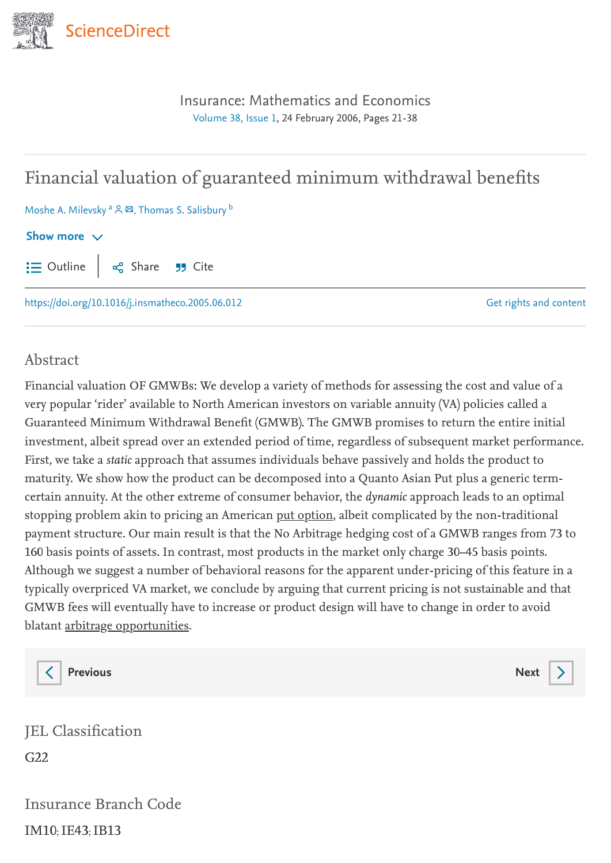

[Insurance: Mathematics and Economics](https://www.sciencedirect.com/journal/insurance-mathematics-and-economics) [Volume](https://www.sciencedirect.com/journal/insurance-mathematics-and-economics/vol/38/issue/1) 38, Issue 1, 24 February 2006, Pages 21-38

# Financial valuation of guaranteed minimum withdrawal benefits

Moshe A. Milevsky <sup>a</sup> &  $\boxtimes$ , Thomas S. Salisbury <sup>b</sup>

#### Show more  $\vee$

Outline | o $\substack{0 \text{}}$  Share 55 Cite

<https://doi.org/10.1016/j.insmatheco.2005.06.012>

Get rights and [content](https://s100.copyright.com/AppDispatchServlet?publisherName=ELS&contentID=S0167668705000910&orderBeanReset=true)

#### Abstract

Financial valuation OF GMWBs: We develop a variety of methods for assessing the cost and value of a very popular 'rider' available to North American investors on variable annuity (VA) policies called a Guaranteed Minimum Withdrawal Benefit (GMWB). The GMWB promises to return the entire initial investment, albeit spread over an extended period of time, regardless of subsequent market performance. First, we take a static approach that assumes individuals behave passively and holds the product to maturity. We show how the product can be decomposed into a Quanto Asian Put plus a generic termcertain annuity. At the other extreme of consumer behavior, the dynamic approach leads to an optimal stopping problem akin to pricing an American put [option,](https://www.sciencedirect.com/topics/mathematics/american-option) albeit complicated by the non-traditional payment structure. Our main result is that the No Arbitrage hedging cost of a GMWB ranges from 73 to 160 basis points of assets. In contrast, most products in the market only charge 30–45 basis points. Although we suggest a number of behavioral reasons for the apparent under-pricing of this feature in a typically overpriced VA market, we conclude by arguing that current pricing is not sustainable and that GMWB fees will eventually have to increase or product design will have to change in order to avoid blatant arbitrage [opportunities](https://www.sciencedirect.com/topics/mathematics/arbitrage-opportunity).

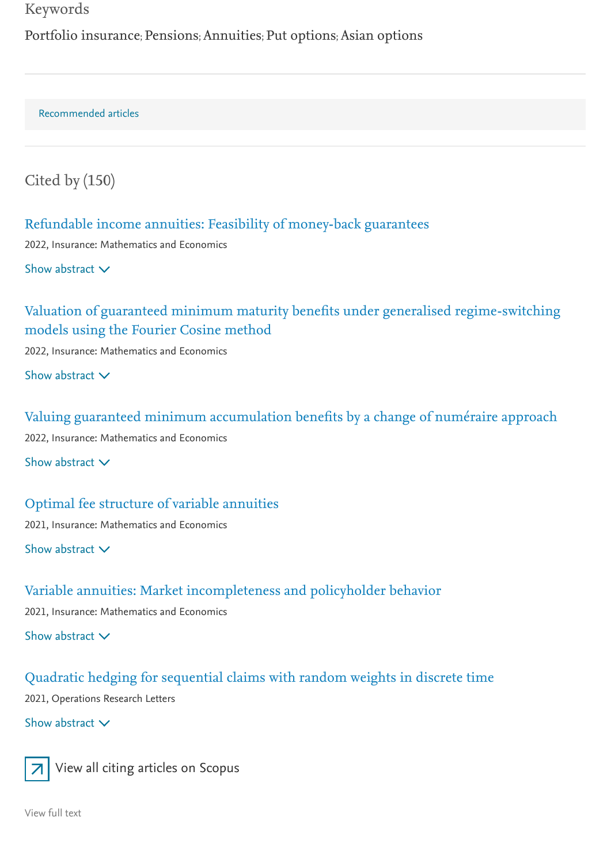#### Keywords

Portfolio insurance; Pensions; Annuities; Put options; Asian options

Recommended articles

Cited by (150)

#### Refundable income annuities: Feasibility of [money-back](https://www.sciencedirect.com/science/article/pii/S0167668722000312) guarantees

2022, Insurance: Mathematics and Economics

Show abstract  $\vee$ 

# Valuation of guaranteed minimum maturity benefits under [generalised regime-switching](https://www.sciencedirect.com/science/article/pii/S0167668722000397) models using the Fourier Cosine method

2022, Insurance: Mathematics and Economics

Show abstract  $\vee$ 

Valuing guaranteed minimum [accumulation](https://www.sciencedirect.com/science/article/pii/S0167668721001682) benefits by a change of numéraire approach 2022, Insurance: Mathematics and Economics

Show abstract  $\vee$ 

Optimal fee structure of variable [annuities](https://www.sciencedirect.com/science/article/pii/S0167668721001566) 2021, Insurance: Mathematics and Economics Show abstract  $\vee$ 

# Variable annuities: Market [incompleteness](https://www.sciencedirect.com/science/article/pii/S0167668721000408) and policyholder behavior

2021, Insurance: Mathematics and Economics

Show abstract  $\vee$ 

### Quadratic hedging for [sequential](https://www.sciencedirect.com/science/article/pii/S016763772100002X) claims with random weights in discrete time

2021, Operations Research Letters

Show abstract  $\vee$ 



View all citing [articles](http://www.scopus.com/scopus/inward/citedby.url?partnerID=10&rel=3.0.0&eid=2-s2.0-31544482733&md5=35a7d4d3327447b5ab201ba9cd5010b9) on Scopus

[View](https://www.sciencedirect.com/science/article/pii/S0167668705000910) full text